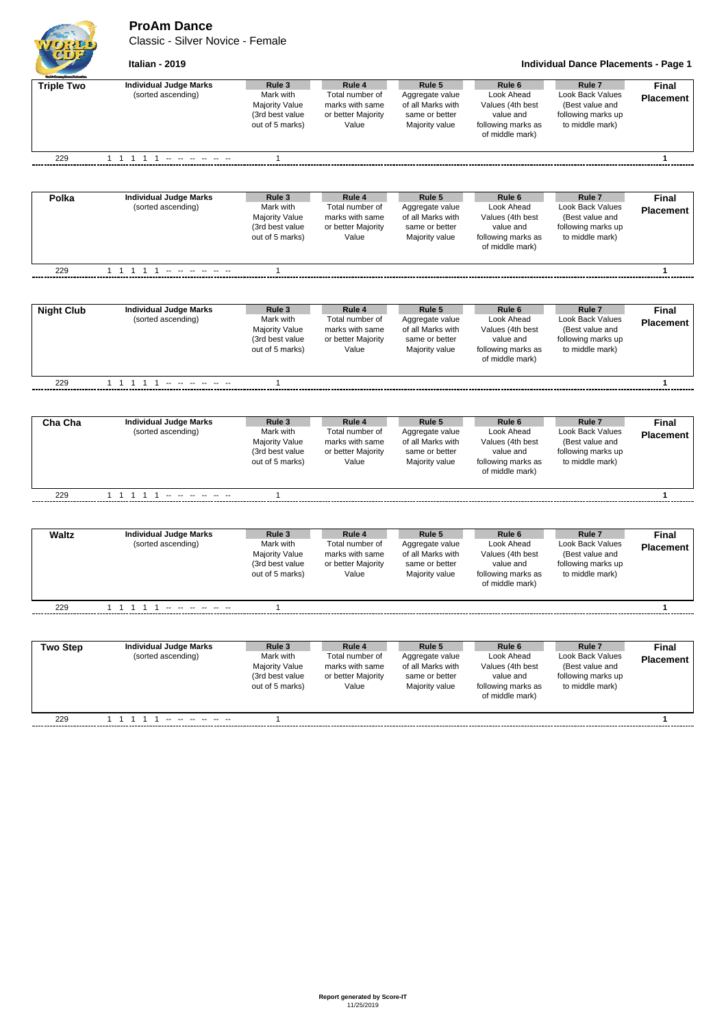**ProAm Dance**

Classic - Silver Novice - Female



**Italian - 2019 Individual Dance Placements - Page 1**

| <b>Course Density</b> |                               |                                          |                                    |                                      |                                       |                                       |                  |
|-----------------------|-------------------------------|------------------------------------------|------------------------------------|--------------------------------------|---------------------------------------|---------------------------------------|------------------|
| <b>Triple Two</b>     | <b>Individual Judge Marks</b> | Rule 3                                   | Rule 4                             | Rule 5                               | Rule 6                                | Rule <sub>7</sub>                     | <b>Final</b>     |
|                       | (sorted ascending)            | Mark with                                | Total number of                    | Aggregate value                      | Look Ahead                            | Look Back Values                      | <b>Placement</b> |
|                       |                               | <b>Majority Value</b>                    | marks with same                    | of all Marks with                    | Values (4th best                      | (Best value and                       |                  |
|                       |                               | (3rd best value                          | or better Majority                 | same or better                       | value and                             | following marks up                    |                  |
|                       |                               | out of 5 marks)                          | Value                              | Majority value                       | following marks as<br>of middle mark) | to middle mark)                       |                  |
|                       |                               |                                          |                                    |                                      |                                       |                                       |                  |
| 229                   | 1 1 1 1 1 - - - - - -         | 1                                        |                                    |                                      |                                       |                                       | $\mathbf{1}$     |
|                       |                               |                                          |                                    |                                      |                                       |                                       |                  |
| Polka                 | <b>Individual Judge Marks</b> | Rule 3                                   | Rule 4                             | Rule 5                               | Rule 6                                | Rule <sub>7</sub>                     | Final            |
|                       | (sorted ascending)            | Mark with                                | Total number of                    | Aggregate value                      | Look Ahead                            | Look Back Values                      | <b>Placement</b> |
|                       |                               | <b>Majority Value</b>                    | marks with same                    | of all Marks with                    | Values (4th best                      | (Best value and                       |                  |
|                       |                               | (3rd best value                          | or better Majority                 | same or better                       | value and                             | following marks up                    |                  |
|                       |                               | out of 5 marks)                          | Value                              | Majority value                       | following marks as<br>of middle mark) | to middle mark)                       |                  |
|                       |                               |                                          |                                    |                                      |                                       |                                       |                  |
| 229                   |                               | $\mathbf{1}$                             |                                    |                                      |                                       |                                       | $\mathbf{1}$     |
|                       |                               |                                          |                                    |                                      |                                       |                                       |                  |
| <b>Night Club</b>     | <b>Individual Judge Marks</b> | Rule 3                                   | Rule 4                             | Rule 5                               | Rule <sub>6</sub>                     | Rule <sub>7</sub>                     | <b>Final</b>     |
|                       | (sorted ascending)            | Mark with                                | Total number of<br>marks with same | Aggregate value<br>of all Marks with | Look Ahead                            | Look Back Values                      | <b>Placement</b> |
|                       |                               | <b>Majority Value</b><br>(3rd best value | or better Majority                 | same or better                       | Values (4th best<br>value and         | (Best value and<br>following marks up |                  |
|                       |                               | out of 5 marks)                          | Value                              | Majority value                       | following marks as                    | to middle mark)                       |                  |
|                       |                               |                                          |                                    |                                      | of middle mark)                       |                                       |                  |
| 229                   | 1 1 1 1 1 - - - - - -         | $\mathbf{1}$                             |                                    |                                      |                                       |                                       | $\mathbf{1}$     |
|                       |                               |                                          |                                    |                                      |                                       |                                       |                  |
| Cha Cha               | <b>Individual Judge Marks</b> | Rule 3                                   | Rule 4                             | Rule 5                               | Rule 6                                | Rule <sub>7</sub>                     | <b>Final</b>     |
|                       | (sorted ascending)            | Mark with                                | Total number of                    | Aggregate value                      | Look Ahead                            | Look Back Values                      | <b>Placement</b> |
|                       |                               | <b>Majority Value</b>                    | marks with same                    | of all Marks with                    | Values (4th best                      | (Best value and                       |                  |
|                       |                               | (3rd best value                          | or better Majority                 | same or better                       | value and                             | following marks up                    |                  |
|                       |                               | out of 5 marks)                          | Value                              | Majority value                       | following marks as                    | to middle mark)                       |                  |
|                       |                               |                                          |                                    |                                      | of middle mark)                       |                                       |                  |
| 229                   |                               | 1                                        |                                    |                                      |                                       |                                       | $\mathbf{1}$     |
|                       |                               |                                          |                                    |                                      |                                       |                                       |                  |
| <b>Waltz</b>          | <b>Individual Judge Marks</b> | Rule 3                                   | Rule 4                             | Rule 5                               | Rule <sub>6</sub>                     | Rule <sub>7</sub>                     | <b>Final</b>     |
|                       | (sorted ascending)            | Mark with                                | Total number of                    | Aggregate value                      | Look Ahead                            | Look Back Values                      | <b>Placement</b> |
|                       |                               | <b>Majority Value</b>                    | marks with same                    | of all Marks with                    | Values (4th best                      | (Best value and                       |                  |
|                       |                               | (3rd best value                          | or better Majority                 | same or better                       | value and                             | following marks up                    |                  |
|                       |                               | out of 5 marks)                          | Value                              | Majority value                       | following marks as<br>of middle mark) | to middle mark)                       |                  |
| 229                   | 1 1 1 1 1 - - - - - -         | 1                                        |                                    |                                      |                                       |                                       | $\mathbf{1}$     |
|                       |                               |                                          |                                    |                                      |                                       |                                       |                  |
| <b>Two Step</b>       | <b>Individual Judge Marks</b> | Rule 3                                   | Rule 4                             | Rule 5                               | Rule 6                                | Rule <sub>7</sub>                     | Final            |
|                       | (sorted ascending)            | Mark with                                | Total number of                    | Aggregate value                      | Look Ahead                            | Look Back Values                      | <b>Placement</b> |
|                       |                               | <b>Majority Value</b>                    | marks with same                    | of all Marks with                    | Values (4th best                      | (Best value and                       |                  |
|                       |                               | (3rd best value                          | or better Majority                 | same or better                       | value and                             | following marks up                    |                  |
|                       |                               | out of 5 marks)                          | Value                              | Majority value                       | following marks as                    | to middle mark)                       |                  |
|                       |                               |                                          |                                    |                                      | of middle mark)                       |                                       |                  |
|                       |                               |                                          |                                    |                                      |                                       |                                       |                  |
| 229                   | 1 1 1 1 1                     | $\mathbf{1}$                             |                                    |                                      |                                       |                                       | $\mathbf{1}$     |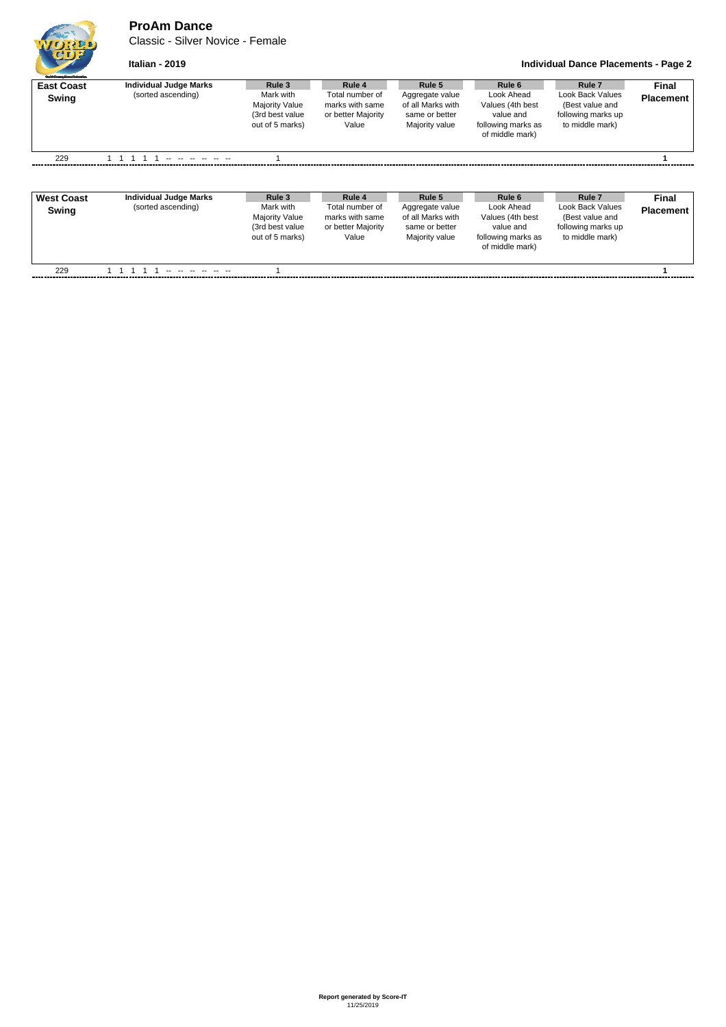## **ProAm Dance**

Classic - Silver Novice - Female

```
Italian - 2019 Individual Dance Placements - Page 2
```

| <b>East Coast</b><br>Swing | <b>Individual Judge Marks</b><br>(sorted ascending) | Rule 3<br>Mark with<br><b>Majority Value</b><br>(3rd best value<br>out of 5 marks) | Rule 4<br>Total number of<br>marks with same<br>or better Majority<br>Value | Rule 5<br>Aggregate value<br>of all Marks with<br>same or better<br>Majority value | Rule 6<br>Look Ahead<br>Values (4th best<br>value and<br>following marks as<br>of middle mark) | Rule 7<br>Look Back Values<br>(Best value and<br>following marks up<br>to middle mark) | Final<br><b>Placement</b> |
|----------------------------|-----------------------------------------------------|------------------------------------------------------------------------------------|-----------------------------------------------------------------------------|------------------------------------------------------------------------------------|------------------------------------------------------------------------------------------------|----------------------------------------------------------------------------------------|---------------------------|
| 229                        | the top the the top the                             |                                                                                    |                                                                             |                                                                                    |                                                                                                |                                                                                        |                           |

| <b>West Coast</b><br>Swing | <b>Individual Judge Marks</b><br>(sorted ascending) | Rule 3<br>Mark with<br>Majority Value<br>(3rd best value<br>out of 5 marks) | Rule 4<br>Total number of<br>marks with same<br>or better Majority<br>Value | Rule 5<br>Aggregate value<br>of all Marks with<br>same or better<br>Majority value | Rule 6<br>Look Ahead<br>Values (4th best)<br>value and<br>following marks as<br>of middle mark) | Rule <sub>7</sub><br>Look Back Values<br>(Best value and<br>following marks up<br>to middle mark) | Final<br><b>Placement</b> |
|----------------------------|-----------------------------------------------------|-----------------------------------------------------------------------------|-----------------------------------------------------------------------------|------------------------------------------------------------------------------------|-------------------------------------------------------------------------------------------------|---------------------------------------------------------------------------------------------------|---------------------------|
| 229                        | الموارد المواردة الموارد                            |                                                                             |                                                                             |                                                                                    |                                                                                                 |                                                                                                   |                           |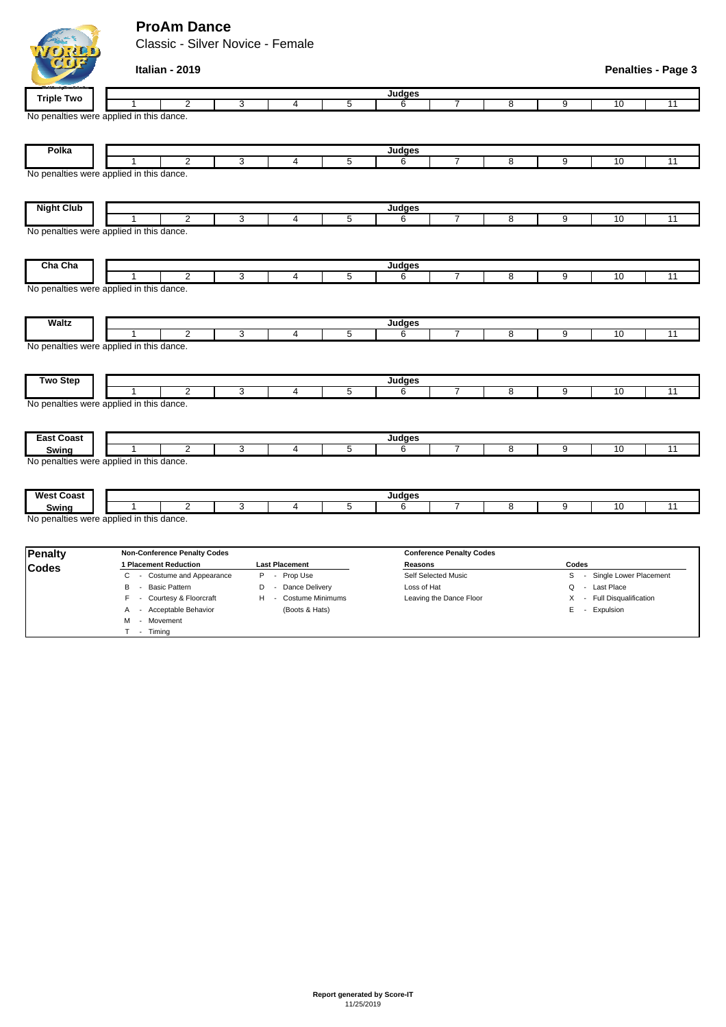## **ProAm Dance**

M - Movement T - Timing

Classic - Silver Novice - Female

|                   | Italian - 2019                                             |                                  |   |               |                                 |   |                |                          | <b>Penalties - Page 3</b> |
|-------------------|------------------------------------------------------------|----------------------------------|---|---------------|---------------------------------|---|----------------|--------------------------|---------------------------|
| <b>Triple Two</b> |                                                            |                                  |   | <b>Judges</b> |                                 |   |                |                          |                           |
|                   | $\overline{2}$                                             | 3<br>$\overline{4}$              | 5 | 6             | 7                               | 8 | $\overline{9}$ | 10                       | 11                        |
|                   | No penalties were applied in this dance.                   |                                  |   |               |                                 |   |                |                          |                           |
| Polka             |                                                            |                                  |   | Judges        |                                 |   |                |                          |                           |
|                   | $\overline{2}$                                             | 3<br>$\overline{4}$              | 5 | 6             | 7                               | 8 | 9              | 10                       | 11                        |
|                   | No penalties were applied in this dance.                   |                                  |   |               |                                 |   |                |                          |                           |
| <b>Night Club</b> |                                                            |                                  |   | Judges        |                                 |   |                |                          |                           |
|                   | $\overline{2}$                                             | 3<br>4                           | 5 | 6             | $\overline{7}$                  | 8 | 9              | 10                       | $\overline{11}$           |
|                   | No penalties were applied in this dance.                   |                                  |   |               |                                 |   |                |                          |                           |
| Cha Cha           |                                                            |                                  |   | Judges        |                                 |   |                |                          |                           |
|                   | $\overline{2}$<br>No penalties were applied in this dance. | $\overline{3}$<br>$\overline{4}$ | 5 | 6             | $\overline{7}$                  | 8 | 9              | 10                       | $\overline{11}$           |
| <b>Waltz</b>      |                                                            |                                  |   | <b>Judges</b> |                                 |   |                |                          |                           |
|                   | $\overline{2}$                                             | 3<br>4                           | 5 | 6             | 7                               | 8 | 9              | 10                       | $\overline{11}$           |
|                   | No penalties were applied in this dance.                   |                                  |   |               |                                 |   |                |                          |                           |
| <b>Two Step</b>   |                                                            |                                  |   | <b>Judges</b> |                                 |   |                |                          |                           |
|                   | $\overline{2}$<br>No penalties were applied in this dance. | 3<br>$\overline{4}$              | 5 | 6             | $\overline{7}$                  | 8 | 9              | 10                       | $\overline{11}$           |
| <b>East Coast</b> |                                                            |                                  |   | Judges        |                                 |   |                |                          |                           |
| Swing             | $\overline{2}$                                             | 3<br>$\overline{4}$              | 5 | 6             | 7                               | 8 | 9              | 10                       | 11                        |
|                   | No penalties were applied in this dance.                   |                                  |   |               |                                 |   |                |                          |                           |
| <b>West Coast</b> |                                                            |                                  |   | <b>Judges</b> |                                 |   |                |                          |                           |
| Swing             | $\overline{2}$<br>1                                        | 3<br>$\overline{4}$              | 5 | 6             | $\overline{7}$                  | 8 | 9              | 10                       | 11                        |
|                   | No penalties were applied in this dance.                   |                                  |   |               |                                 |   |                |                          |                           |
| <b>Penalty</b>    | <b>Non-Conference Penalty Codes</b>                        |                                  |   |               | <b>Conference Penalty Codes</b> |   |                |                          |                           |
| Codes             | 1 Placement Reduction                                      | <b>Last Placement</b>            |   | Reasons       |                                 |   | Codes          |                          |                           |
|                   | C<br>- Costume and Appearance                              | P - Prop Use                     |   |               | Self Selected Music             |   | S              | - Single Lower Placement |                           |

B - Basic Pattern **D** - Dance Delivery Loss of Hat **Loss of Hat Q - Last Place** F - Courtesy & Floorcraft H - Costume Minimums Leaving the Dance Floor X - Full Disqualification A - Acceptable Behavior (Boots & Hats) E - Expulsion